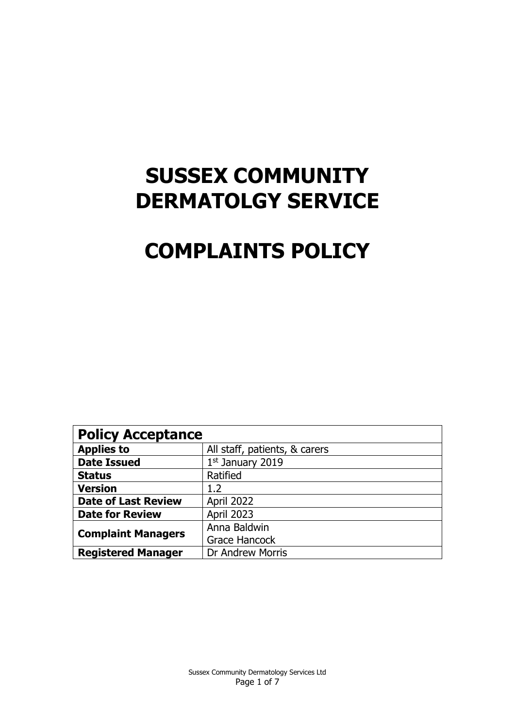# **SUSSEX COMMUNITY DERMATOLGY SERVICE**

# **COMPLAINTS POLICY**

| <b>Policy Acceptance</b>   |                               |  |  |
|----------------------------|-------------------------------|--|--|
| <b>Applies to</b>          | All staff, patients, & carers |  |  |
| <b>Date Issued</b>         | $1st$ January 2019            |  |  |
| <b>Status</b>              | Ratified                      |  |  |
| <b>Version</b>             | 1.2                           |  |  |
| <b>Date of Last Review</b> | April 2022                    |  |  |
| <b>Date for Review</b>     | <b>April 2023</b>             |  |  |
| <b>Complaint Managers</b>  | Anna Baldwin                  |  |  |
|                            | <b>Grace Hancock</b>          |  |  |
| <b>Registered Manager</b>  | <b>Dr Andrew Morris</b>       |  |  |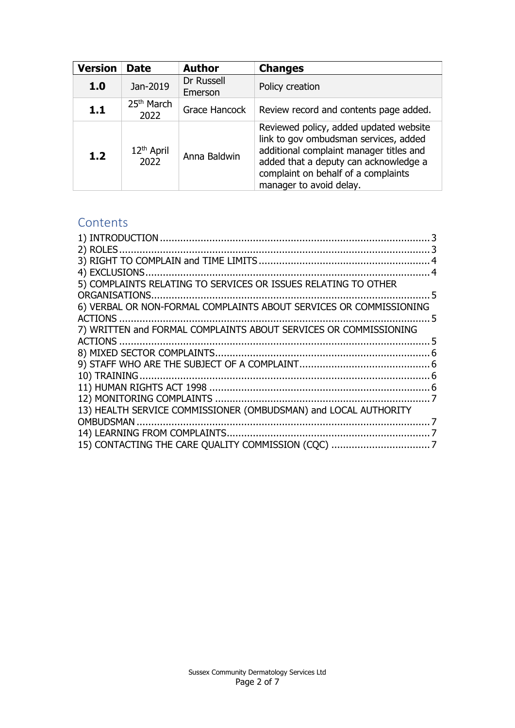| <b>Version</b> | <b>Date</b>                    | <b>Author</b>         | <b>Changes</b>                                                                                                                                                                                                                        |
|----------------|--------------------------------|-----------------------|---------------------------------------------------------------------------------------------------------------------------------------------------------------------------------------------------------------------------------------|
| 1.0            | Jan-2019                       | Dr Russell<br>Emerson | Policy creation                                                                                                                                                                                                                       |
| 1.1            | 25 <sup>th</sup> March<br>2022 | Grace Hancock         | Review record and contents page added.                                                                                                                                                                                                |
| 1.2            | 12 <sup>th</sup> April<br>2022 | Anna Baldwin          | Reviewed policy, added updated website<br>link to gov ombudsman services, added<br>additional complaint manager titles and<br>added that a deputy can acknowledge a<br>complaint on behalf of a complaints<br>manager to avoid delay. |

# **Contents**

| 5) COMPLAINTS RELATING TO SERVICES OR ISSUES RELATING TO OTHER     |  |
|--------------------------------------------------------------------|--|
|                                                                    |  |
| 6) VERBAL OR NON-FORMAL COMPLAINTS ABOUT SERVICES OR COMMISSIONING |  |
|                                                                    |  |
| 7) WRITTEN and FORMAL COMPLAINTS ABOUT SERVICES OR COMMISSIONING   |  |
|                                                                    |  |
|                                                                    |  |
|                                                                    |  |
|                                                                    |  |
|                                                                    |  |
|                                                                    |  |
| 13) HEALTH SERVICE COMMISSIONER (OMBUDSMAN) and LOCAL AUTHORITY    |  |
|                                                                    |  |
|                                                                    |  |
|                                                                    |  |
|                                                                    |  |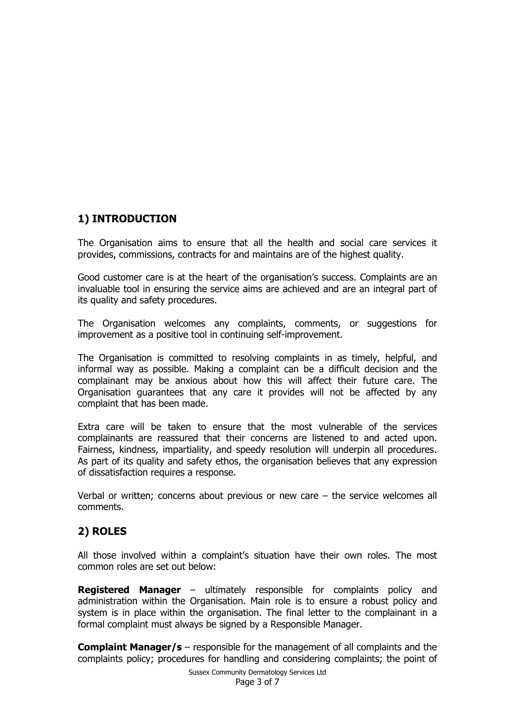# <span id="page-2-0"></span>**1) INTRODUCTION**

The Organisation aims to ensure that all the health and social care services it provides, commissions, contracts for and maintains are of the highest quality.

Good customer care is at the heart of the organisation's success. Complaints are an invaluable tool in ensuring the service aims are achieved and are an integral part of its quality and safety procedures.

The Organisation welcomes any complaints, comments, or suggestions for improvement as a positive tool in continuing self-improvement.

The Organisation is committed to resolving complaints in as timely, helpful, and informal way as possible. Making a complaint can be a difficult decision and the complainant may be anxious about how this will affect their future care. The Organisation guarantees that any care it provides will not be affected by any complaint that has been made.

Extra care will be taken to ensure that the most vulnerable of the services complainants are reassured that their concerns are listened to and acted upon. Fairness, kindness, impartiality, and speedy resolution will underpin all procedures. As part of its quality and safety ethos, the organisation believes that any expression of dissatisfaction requires a response.

Verbal or written; concerns about previous or new care – the service welcomes all comments.

#### <span id="page-2-1"></span>**2) ROLES**

All those involved within a complaint's situation have their own roles. The most common roles are set out below:

**Registered Manager** – ultimately responsible for complaints policy and administration within the Organisation. Main role is to ensure a robust policy and system is in place within the organisation. The final letter to the complainant in a formal complaint must always be signed by a Responsible Manager.

**Complaint Manager/s** – responsible for the management of all complaints and the complaints policy; procedures for handling and considering complaints; the point of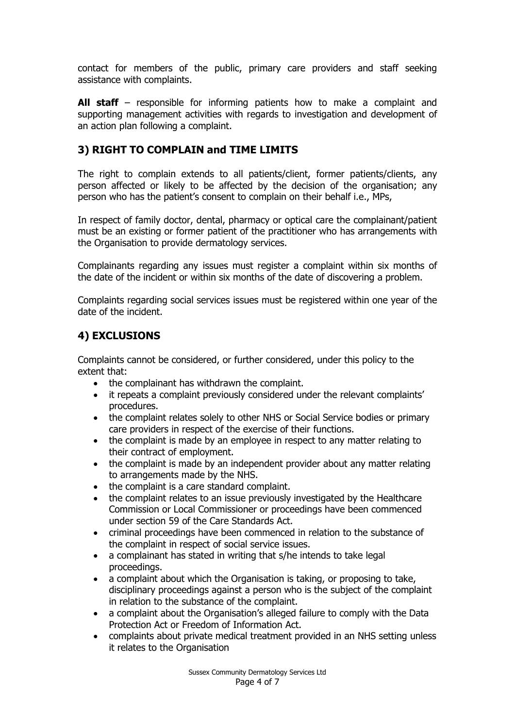contact for members of the public, primary care providers and staff seeking assistance with complaints.

**All staff** – responsible for informing patients how to make a complaint and supporting management activities with regards to investigation and development of an action plan following a complaint.

#### <span id="page-3-0"></span>**3) RIGHT TO COMPLAIN and TIME LIMITS**

The right to complain extends to all patients/client, former patients/clients, any person affected or likely to be affected by the decision of the organisation; any person who has the patient's consent to complain on their behalf i.e., MPs,

In respect of family doctor, dental, pharmacy or optical care the complainant/patient must be an existing or former patient of the practitioner who has arrangements with the Organisation to provide dermatology services.

Complainants regarding any issues must register a complaint within six months of the date of the incident or within six months of the date of discovering a problem.

Complaints regarding social services issues must be registered within one year of the date of the incident.

#### <span id="page-3-1"></span>**4) EXCLUSIONS**

Complaints cannot be considered, or further considered, under this policy to the extent that:

- the complainant has withdrawn the complaint.
- it repeats a complaint previously considered under the relevant complaints' procedures.
- the complaint relates solely to other NHS or Social Service bodies or primary care providers in respect of the exercise of their functions.
- the complaint is made by an employee in respect to any matter relating to their contract of employment.
- the complaint is made by an independent provider about any matter relating to arrangements made by the NHS.
- the complaint is a care standard complaint.
- the complaint relates to an issue previously investigated by the Healthcare Commission or Local Commissioner or proceedings have been commenced under section 59 of the Care Standards Act.
- criminal proceedings have been commenced in relation to the substance of the complaint in respect of social service issues.
- a complainant has stated in writing that s/he intends to take legal proceedings.
- a complaint about which the Organisation is taking, or proposing to take, disciplinary proceedings against a person who is the subject of the complaint in relation to the substance of the complaint.
- a complaint about the Organisation's alleged failure to comply with the Data Protection Act or Freedom of Information Act.
- complaints about private medical treatment provided in an NHS setting unless it relates to the Organisation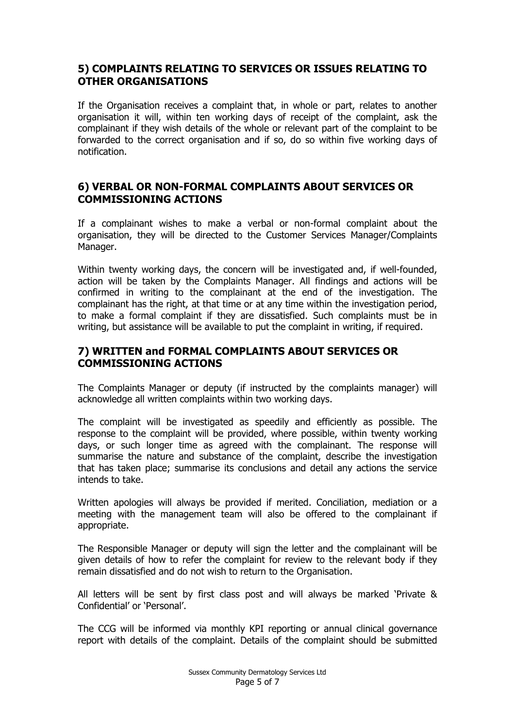#### <span id="page-4-0"></span>**5) COMPLAINTS RELATING TO SERVICES OR ISSUES RELATING TO OTHER ORGANISATIONS**

If the Organisation receives a complaint that, in whole or part, relates to another organisation it will, within ten working days of receipt of the complaint, ask the complainant if they wish details of the whole or relevant part of the complaint to be forwarded to the correct organisation and if so, do so within five working days of notification.

## <span id="page-4-1"></span>**6) VERBAL OR NON-FORMAL COMPLAINTS ABOUT SERVICES OR COMMISSIONING ACTIONS**

If a complainant wishes to make a verbal or non-formal complaint about the organisation, they will be directed to the Customer Services Manager/Complaints Manager.

Within twenty working days, the concern will be investigated and, if well-founded, action will be taken by the Complaints Manager. All findings and actions will be confirmed in writing to the complainant at the end of the investigation. The complainant has the right, at that time or at any time within the investigation period, to make a formal complaint if they are dissatisfied. Such complaints must be in writing, but assistance will be available to put the complaint in writing, if required.

## <span id="page-4-2"></span>**7) WRITTEN and FORMAL COMPLAINTS ABOUT SERVICES OR COMMISSIONING ACTIONS**

The Complaints Manager or deputy (if instructed by the complaints manager) will acknowledge all written complaints within two working days.

The complaint will be investigated as speedily and efficiently as possible. The response to the complaint will be provided, where possible, within twenty working days, or such longer time as agreed with the complainant. The response will summarise the nature and substance of the complaint, describe the investigation that has taken place; summarise its conclusions and detail any actions the service intends to take.

Written apologies will always be provided if merited. Conciliation, mediation or a meeting with the management team will also be offered to the complainant if appropriate.

The Responsible Manager or deputy will sign the letter and the complainant will be given details of how to refer the complaint for review to the relevant body if they remain dissatisfied and do not wish to return to the Organisation.

All letters will be sent by first class post and will always be marked 'Private & Confidential' or 'Personal'.

The CCG will be informed via monthly KPI reporting or annual clinical governance report with details of the complaint. Details of the complaint should be submitted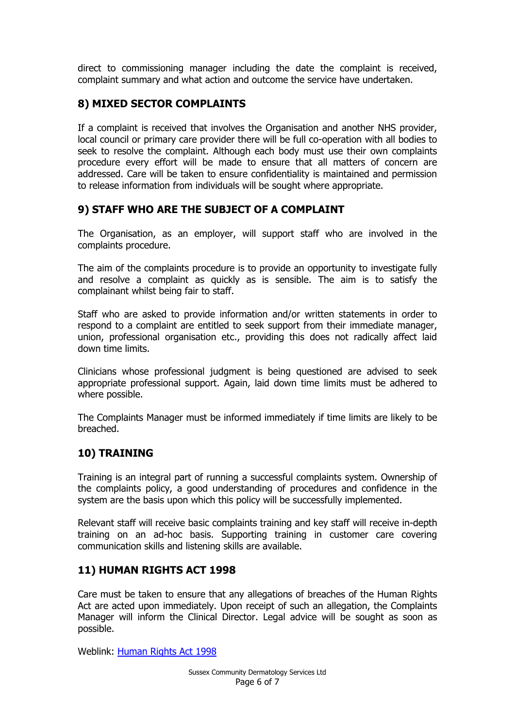direct to commissioning manager including the date the complaint is received, complaint summary and what action and outcome the service have undertaken.

## <span id="page-5-0"></span>**8) MIXED SECTOR COMPLAINTS**

If a complaint is received that involves the Organisation and another NHS provider, local council or primary care provider there will be full co-operation with all bodies to seek to resolve the complaint. Although each body must use their own complaints procedure every effort will be made to ensure that all matters of concern are addressed. Care will be taken to ensure confidentiality is maintained and permission to release information from individuals will be sought where appropriate.

## <span id="page-5-1"></span>**9) STAFF WHO ARE THE SUBJECT OF A COMPLAINT**

The Organisation, as an employer, will support staff who are involved in the complaints procedure.

The aim of the complaints procedure is to provide an opportunity to investigate fully and resolve a complaint as quickly as is sensible. The aim is to satisfy the complainant whilst being fair to staff.

Staff who are asked to provide information and/or written statements in order to respond to a complaint are entitled to seek support from their immediate manager, union, professional organisation etc., providing this does not radically affect laid down time limits.

Clinicians whose professional judgment is being questioned are advised to seek appropriate professional support. Again, laid down time limits must be adhered to where possible.

The Complaints Manager must be informed immediately if time limits are likely to be breached.

#### <span id="page-5-2"></span>**10) TRAINING**

Training is an integral part of running a successful complaints system. Ownership of the complaints policy, a good understanding of procedures and confidence in the system are the basis upon which this policy will be successfully implemented.

Relevant staff will receive basic complaints training and key staff will receive in-depth training on an ad-hoc basis. Supporting training in customer care covering communication skills and listening skills are available.

#### <span id="page-5-3"></span>**11) HUMAN RIGHTS ACT 1998**

Care must be taken to ensure that any allegations of breaches of the Human Rights Act are acted upon immediately. Upon receipt of such an allegation, the Complaints Manager will inform the Clinical Director. Legal advice will be sought as soon as possible.

Weblink: [Human Rights Act 1998](https://www.legislation.gov.uk/ukpga/1998/42/contents)